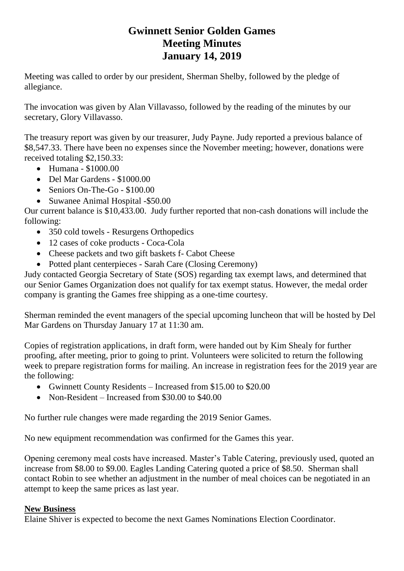# **Gwinnett Senior Golden Games Meeting Minutes January 14, 2019**

Meeting was called to order by our president, Sherman Shelby, followed by the pledge of allegiance.

The invocation was given by Alan Villavasso, followed by the reading of the minutes by our secretary, Glory Villavasso.

The treasury report was given by our treasurer, Judy Payne. Judy reported a previous balance of \$8,547.33. There have been no expenses since the November meeting; however, donations were received totaling \$2,150.33:

- Humana \$1000.00
- Del Mar Gardens \$1000.00
- Seniors On-The-Go \$100.00
- Suwanee Animal Hospital -\$50.00

Our current balance is \$10,433.00. Judy further reported that non-cash donations will include the following:

- 350 cold towels Resurgens Orthopedics
- 12 cases of coke products Coca-Cola
- Cheese packets and two gift baskets f- Cabot Cheese
- Potted plant centerpieces Sarah Care (Closing Ceremony)

Judy contacted Georgia Secretary of State (SOS) regarding tax exempt laws, and determined that our Senior Games Organization does not qualify for tax exempt status. However, the medal order company is granting the Games free shipping as a one-time courtesy.

Sherman reminded the event managers of the special upcoming luncheon that will be hosted by Del Mar Gardens on Thursday January 17 at 11:30 am.

Copies of registration applications, in draft form, were handed out by Kim Shealy for further proofing, after meeting, prior to going to print. Volunteers were solicited to return the following week to prepare registration forms for mailing. An increase in registration fees for the 2019 year are the following:

- Gwinnett County Residents Increased from \$15.00 to \$20.00
- Non-Resident Increased from \$30,00 to \$40,00

No further rule changes were made regarding the 2019 Senior Games.

No new equipment recommendation was confirmed for the Games this year.

Opening ceremony meal costs have increased. Master's Table Catering, previously used, quoted an increase from \$8.00 to \$9.00. Eagles Landing Catering quoted a price of \$8.50. Sherman shall contact Robin to see whether an adjustment in the number of meal choices can be negotiated in an attempt to keep the same prices as last year.

## **New Business**

Elaine Shiver is expected to become the next Games Nominations Election Coordinator.